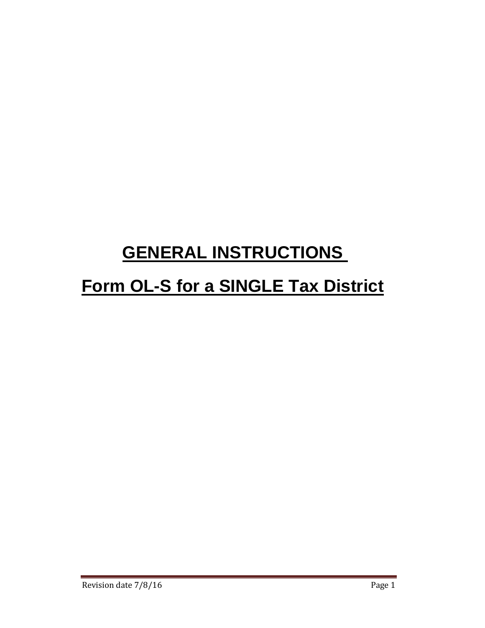# **GENERAL INSTRUCTIONS Form OL-S for a SINGLE Tax District**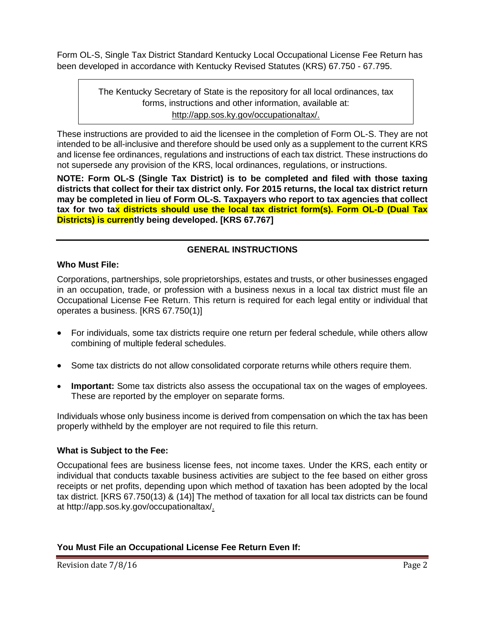Form OL-S, Single Tax District Standard Kentucky Local Occupational License Fee Return has been developed in accordance with Kentucky Revised Statutes (KRS) 67.750 - 67.795.

> The Kentucky Secretary of State is the repository for all local ordinances, tax forms, instructions and other information, available at: http://app.sos.ky.gov/occupationaltax/.

These instructions are provided to aid the licensee in the completion of Form OL-S. They are not intended to be all-inclusive and therefore should be used only as a supplement to the current KRS and license fee ordinances, regulations and instructions of each tax district. These instructions do not supersede any provision of the KRS, local ordinances, regulations, or instructions.

**NOTE: Form OL-S (Single Tax District) is to be completed and filed with those taxing districts that collect for their tax district only. For 2015 returns, the local tax district return may be completed in lieu of Form OL-S. Taxpayers who report to tax agencies that collect tax for two tax districts should use the local tax district form(s). Form OL-D (Dual Tax Districts) is currently being developed. [KRS 67.767]** 

## **GENERAL INSTRUCTIONS**

#### **Who Must File:**

Corporations, partnerships, sole proprietorships, estates and trusts, or other businesses engaged in an occupation, trade, or profession with a business nexus in a local tax district must file an Occupational License Fee Return. This return is required for each legal entity or individual that operates a business. [KRS 67.750(1)]

- For individuals, some tax districts require one return per federal schedule, while others allow combining of multiple federal schedules.
- Some tax districts do not allow consolidated corporate returns while others require them.
- **Important:** Some tax districts also assess the occupational tax on the wages of employees. These are reported by the employer on separate forms.

Individuals whose only business income is derived from compensation on which the tax has been properly withheld by the employer are not required to file this return.

#### **What is Subject to the Fee:**

Occupational fees are business license fees, not income taxes. Under the KRS, each entity or individual that conducts taxable business activities are subject to the fee based on either gross receipts or net profits, depending upon which method of taxation has been adopted by the local tax district. [KRS 67.750(13) & (14)] The method of taxation for all local tax districts can be found at [http://app.sos.ky.gov/occupationaltax/.](http://app.sos.ky.gov/occupationaltax/)

## **You Must File an Occupational License Fee Return Even If:**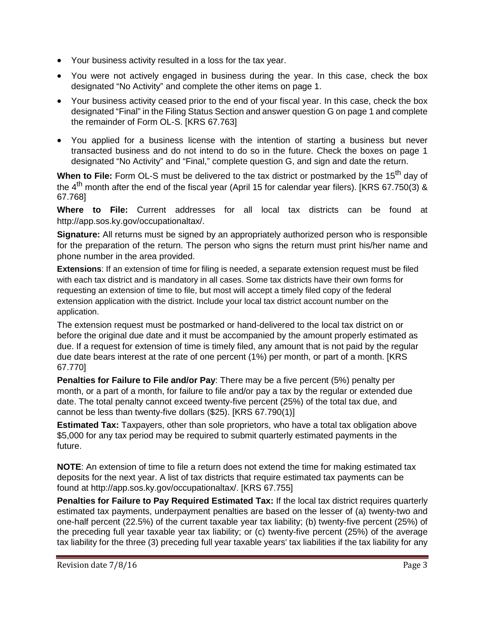- Your business activity resulted in a loss for the tax year.
- You were not actively engaged in business during the year. In this case, check the box designated "No Activity" and complete the other items on page 1.
- Your business activity ceased prior to the end of your fiscal year. In this case, check the box designated "Final" in the Filing Status Section and answer question G on page 1 and complete the remainder of Form OL-S. [KRS 67.763]
- You applied for a business license with the intention of starting a business but never transacted business and do not intend to do so in the future. Check the boxes on page 1 designated "No Activity" and "Final," complete question G, and sign and date the return.

When to File: Form OL-S must be delivered to the tax district or postmarked by the 15<sup>th</sup> day of the 4<sup>th</sup> month after the end of the fiscal year (April 15 for calendar year filers). [KRS 67.750(3) & 67.768]

**Where to File:** Current addresses for all local tax districts can be found at http://app.sos.ky.gov/occupationaltax/.

**Signature:** All returns must be signed by an appropriately authorized person who is responsible for the preparation of the return. The person who signs the return must print his/her name and phone number in the area provided.

**Extensions**: If an extension of time for filing is needed, a separate extension request must be filed with each tax district and is mandatory in all cases. Some tax districts have their own forms for requesting an extension of time to file, but most will accept a timely filed copy of the federal extension application with the district. Include your local tax district account number on the application.

The extension request must be postmarked or hand-delivered to the local tax district on or before the original due date and it must be accompanied by the amount properly estimated as due. If a request for extension of time is timely filed, any amount that is not paid by the regular due date bears interest at the rate of one percent (1%) per month, or part of a month. [KRS 67.770]

**Penalties for Failure to File and/or Pay**: There may be a five percent (5%) penalty per month, or a part of a month, for failure to file and/or pay a tax by the regular or extended due date. The total penalty cannot exceed twenty-five percent (25%) of the total tax due, and cannot be less than twenty-five dollars (\$25). [KRS 67.790(1)]

**Estimated Tax:** Taxpayers, other than sole proprietors, who have a total tax obligation above \$5,000 for any tax period may be required to submit quarterly estimated payments in the future.

**NOTE**: An extension of time to file a return does not extend the time for making estimated tax deposits for the next year. A list of tax districts that require estimated tax payments can be found at http://app.sos.ky.gov/occupationaltax/. [KRS 67.755]

**Penalties for Failure to Pay Required Estimated Tax:** If the local tax district requires quarterly estimated tax payments, underpayment penalties are based on the lesser of (a) twenty-two and one-half percent (22.5%) of the current taxable year tax liability; (b) twenty-five percent (25%) of the preceding full year taxable year tax liability; or (c) twenty-five percent (25%) of the average tax liability for the three (3) preceding full year taxable years' tax liabilities if the tax liability for any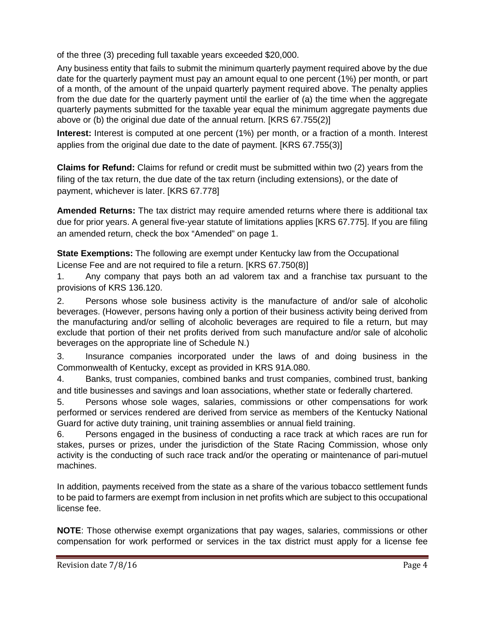of the three (3) preceding full taxable years exceeded \$20,000.

Any business entity that fails to submit the minimum quarterly payment required above by the due date for the quarterly payment must pay an amount equal to one percent (1%) per month, or part of a month, of the amount of the unpaid quarterly payment required above. The penalty applies from the due date for the quarterly payment until the earlier of (a) the time when the aggregate quarterly payments submitted for the taxable year equal the minimum aggregate payments due above or (b) the original due date of the annual return. [KRS 67.755(2)]

**Interest:** Interest is computed at one percent (1%) per month, or a fraction of a month. Interest applies from the original due date to the date of payment. [KRS 67.755(3)]

**Claims for Refund:** Claims for refund or credit must be submitted within two (2) years from the filing of the tax return, the due date of the tax return (including extensions), or the date of payment, whichever is later. [KRS 67.778]

**Amended Returns:** The tax district may require amended returns where there is additional tax due for prior years. A general five-year statute of limitations applies [KRS 67.775]. If you are filing an amended return, check the box "Amended" on page 1.

**State Exemptions:** The following are exempt under Kentucky law from the Occupational License Fee and are not required to file a return. [KRS 67.750(8)]

1. Any company that pays both an ad valorem tax and a franchise tax pursuant to the provisions of KRS 136.120.

2. Persons whose sole business activity is the manufacture of and/or sale of alcoholic beverages. (However, persons having only a portion of their business activity being derived from the manufacturing and/or selling of alcoholic beverages are required to file a return, but may exclude that portion of their net profits derived from such manufacture and/or sale of alcoholic beverages on the appropriate line of Schedule N.)

3. Insurance companies incorporated under the laws of and doing business in the Commonwealth of Kentucky, except as provided in KRS 91A.080.

4. Banks, trust companies, combined banks and trust companies, combined trust, banking and title businesses and savings and loan associations, whether state or federally chartered.

5. Persons whose sole wages, salaries, commissions or other compensations for work performed or services rendered are derived from service as members of the Kentucky National Guard for active duty training, unit training assemblies or annual field training.

6. Persons engaged in the business of conducting a race track at which races are run for stakes, purses or prizes, under the jurisdiction of the State Racing Commission, whose only activity is the conducting of such race track and/or the operating or maintenance of pari-mutuel machines.

In addition, payments received from the state as a share of the various tobacco settlement funds to be paid to farmers are exempt from inclusion in net profits which are subject to this occupational license fee.

**NOTE**: Those otherwise exempt organizations that pay wages, salaries, commissions or other compensation for work performed or services in the tax district must apply for a license fee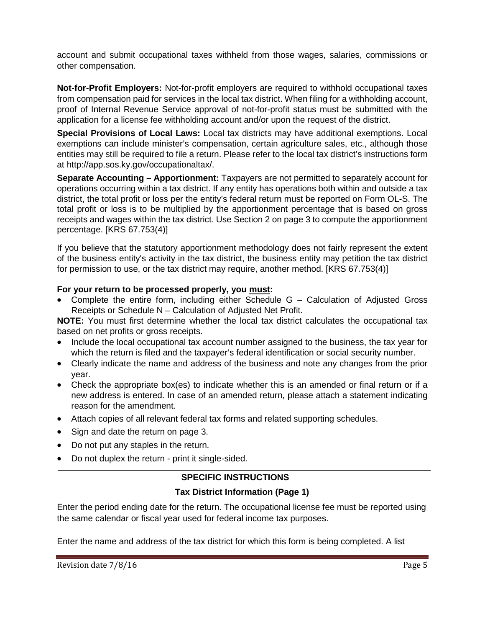account and submit occupational taxes withheld from those wages, salaries, commissions or other compensation.

**Not-for-Profit Employers:** Not-for-profit employers are required to withhold occupational taxes from compensation paid for services in the local tax district. When filing for a withholding account, proof of Internal Revenue Service approval of not-for-profit status must be submitted with the application for a license fee withholding account and/or upon the request of the district.

**Special Provisions of Local Laws:** Local tax districts may have additional exemptions. Local exemptions can include minister's compensation, certain agriculture sales, etc., although those entities may still be required to file a return. Please refer to the local tax district's instructions form at http://app.sos.ky.gov/occupationaltax/.

**Separate Accounting – Apportionment:** Taxpayers are not permitted to separately account for operations occurring within a tax district. If any entity has operations both within and outside a tax district, the total profit or loss per the entity's federal return must be reported on Form OL-S. The total profit or loss is to be multiplied by the apportionment percentage that is based on gross receipts and wages within the tax district. Use Section 2 on page 3 to compute the apportionment percentage. [KRS 67.753(4)]

If you believe that the statutory apportionment methodology does not fairly represent the extent of the business entity's activity in the tax district, the business entity may petition the tax district for permission to use, or the tax district may require, another method. [KRS 67.753(4)]

#### **For your return to be processed properly, you must:**

Complete the entire form, including either Schedule  $G -$  Calculation of Adjusted Gross Receipts or Schedule N – Calculation of Adjusted Net Profit.

**NOTE:** You must first determine whether the local tax district calculates the occupational tax based on net profits or gross receipts.

- Include the local occupational tax account number assigned to the business, the tax year for which the return is filed and the taxpayer's federal identification or social security number.
- Clearly indicate the name and address of the business and note any changes from the prior year.
- Check the appropriate box(es) to indicate whether this is an amended or final return or if a new address is entered. In case of an amended return, please attach a statement indicating reason for the amendment.
- Attach copies of all relevant federal tax forms and related supporting schedules.
- Sign and date the return on page 3.
- Do not put any staples in the return.
- Do not duplex the return print it single-sided.

## **SPECIFIC INSTRUCTIONS**

## **Tax District Information (Page 1)**

Enter the period ending date for the return. The occupational license fee must be reported using the same calendar or fiscal year used for federal income tax purposes.

Enter the name and address of the tax district for which this form is being completed. A list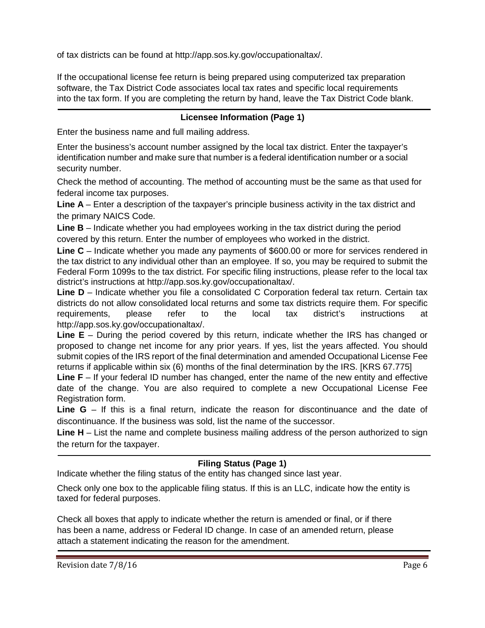of tax districts can be found at http://app.sos.ky.gov/occupationaltax/.

If the occupational license fee return is being prepared using computerized tax preparation software, the Tax District Code associates local tax rates and specific local requirements into the tax form. If you are completing the return by hand, leave the Tax District Code blank.

## **Licensee Information (Page 1)**

Enter the business name and full mailing address.

Enter the business's account number assigned by the local tax district. Enter the taxpayer's identification number and make sure that number is a federal identification number or a social security number.

Check the method of accounting. The method of accounting must be the same as that used for federal income tax purposes.

Line A – Enter a description of the taxpayer's principle business activity in the tax district and the primary NAICS Code.

**Line B** – Indicate whether you had employees working in the tax district during the period covered by this return. Enter the number of employees who worked in the district.

Line C – Indicate whether you made any payments of \$600.00 or more for services rendered in the tax district to any individual other than an employee. If so, you may be required to submit the Federal Form 1099s to the tax district. For specific filing instructions, please refer to the local tax district's instructions at http://app.sos.ky.gov/occupationaltax/.

Line D – Indicate whether you file a consolidated C Corporation federal tax return. Certain tax districts do not allow consolidated local returns and some tax districts require them. For specific requirements, please refer to the local tax district's instructions at http://app.sos.ky.gov/occupationaltax/.

**Line E** – During the period covered by this return, indicate whether the IRS has changed or proposed to change net income for any prior years. If yes, list the years affected. You should submit copies of the IRS report of the final determination and amended Occupational License Fee returns if applicable within six (6) months of the final determination by the IRS. [KRS 67.775]

Line F – If your federal ID number has changed, enter the name of the new entity and effective date of the change. You are also required to complete a new Occupational License Fee Registration form.

**Line G** – If this is a final return, indicate the reason for discontinuance and the date of discontinuance. If the business was sold, list the name of the successor.

Line H – List the name and complete business mailing address of the person authorized to sign the return for the taxpayer.

## **Filing Status (Page 1)**

Indicate whether the filing status of the entity has changed since last year.

Check only one box to the applicable filing status. If this is an LLC, indicate how the entity is taxed for federal purposes.

Check all boxes that apply to indicate whether the return is amended or final, or if there has been a name, address or Federal ID change. In case of an amended return, please attach a statement indicating the reason for the amendment.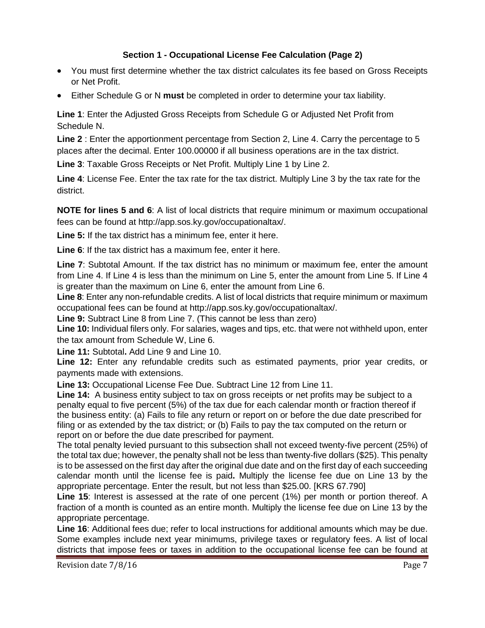## **Section 1 - Occupational License Fee Calculation (Page 2)**

- You must first determine whether the tax district calculates its fee based on Gross Receipts or Net Profit.
- Either Schedule G or N **must** be completed in order to determine your tax liability.

**Line 1**: Enter the Adjusted Gross Receipts from Schedule G or Adjusted Net Profit from Schedule N.

**Line 2** : Enter the apportionment percentage from Section 2, Line 4. Carry the percentage to 5 places after the decimal. Enter 100.00000 if all business operations are in the tax district.

**Line 3**: Taxable Gross Receipts or Net Profit. Multiply Line 1 by Line 2.

**Line 4**: License Fee. Enter the tax rate for the tax district. Multiply Line 3 by the tax rate for the district.

**NOTE for lines 5 and 6**: A list of local districts that require minimum or maximum occupational fees can be found at http://app.sos.ky.gov/occupationaltax/.

**Line 5:** If the tax district has a minimum fee, enter it here.

**Line 6**: If the tax district has a maximum fee, enter it here.

**Line 7**: Subtotal Amount. If the tax district has no minimum or maximum fee, enter the amount from Line 4. If Line 4 is less than the minimum on Line 5, enter the amount from Line 5. If Line 4 is greater than the maximum on Line 6, enter the amount from Line 6.

**Line 8**: Enter any non-refundable credits. A list of local districts that require minimum or maximum occupational fees can be found at http://app.sos.ky.gov/occupationaltax/.

**Line 9:** Subtract Line 8 from Line 7. (This cannot be less than zero)

**Line 10:** Individual filers only. For salaries, wages and tips, etc. that were not withheld upon, enter the tax amount from Schedule W, Line 6.

**Line 11:** Subtotal**.** Add Line 9 and Line 10.

**Line 12:** Enter any refundable credits such as estimated payments, prior year credits, or payments made with extensions.

**Line 13:** Occupational License Fee Due. Subtract Line 12 from Line 11.

**Line 14:** A business entity subject to tax on gross receipts or net profits may be subject to a penalty equal to five percent (5%) of the tax due for each calendar month or fraction thereof if the business entity: (a) Fails to file any return or report on or before the due date prescribed for filing or as extended by the tax district; or (b) Fails to pay the tax computed on the return or report on or before the due date prescribed for payment.

The total penalty levied pursuant to this subsection shall not exceed twenty-five percent (25%) of the total tax due; however, the penalty shall not be less than twenty-five dollars (\$25). This penalty is to be assessed on the first day after the original due date and on the first day of each succeeding calendar month until the license fee is paid**.** Multiply the license fee due on Line 13 by the appropriate percentage. Enter the result, but not less than \$25.00. [KRS 67.790]

**Line 15**: Interest is assessed at the rate of one percent (1%) per month or portion thereof. A fraction of a month is counted as an entire month. Multiply the license fee due on Line 13 by the appropriate percentage.

**Line 16**: Additional fees due; refer to local instructions for additional amounts which may be due. Some examples include next year minimums, privilege taxes or regulatory fees. A list of local districts that impose fees or taxes in addition to the occupational license fee can be found at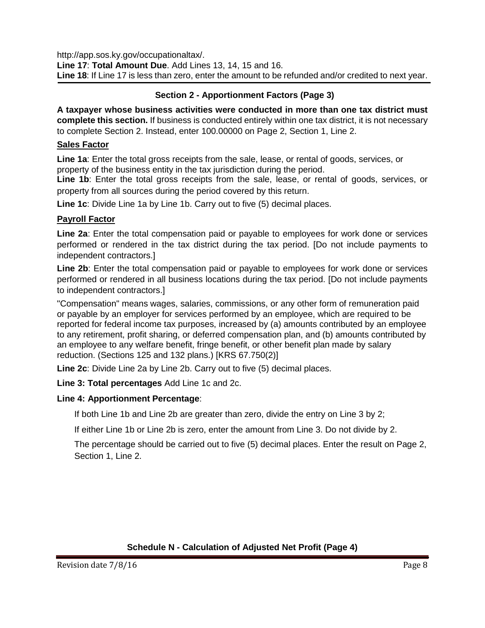http://app.sos.ky.gov/occupationaltax/. **Line 17**: **Total Amount Due**. Add Lines 13, 14, 15 and 16. **Line 18**: If Line 17 is less than zero, enter the amount to be refunded and/or credited to next year.

## **Section 2 - Apportionment Factors (Page 3)**

**A taxpayer whose business activities were conducted in more than one tax district must complete this section.** If business is conducted entirely within one tax district, it is not necessary to complete Section 2. Instead, enter 100.00000 on Page 2, Section 1, Line 2.

#### **Sales Factor**

**Line 1a**: Enter the total gross receipts from the sale, lease, or rental of goods, services, or property of the business entity in the tax jurisdiction during the period.

**Line 1b**: Enter the total gross receipts from the sale, lease, or rental of goods, services, or property from all sources during the period covered by this return.

**Line 1c**: Divide Line 1a by Line 1b. Carry out to five (5) decimal places.

## **Payroll Factor**

**Line 2a**: Enter the total compensation paid or payable to employees for work done or services performed or rendered in the tax district during the tax period. [Do not include payments to independent contractors.]

**Line 2b**: Enter the total compensation paid or payable to employees for work done or services performed or rendered in all business locations during the tax period. [Do not include payments to independent contractors.]

"Compensation" means wages, salaries, commissions, or any other form of remuneration paid or payable by an employer for services performed by an employee, which are required to be reported for federal income tax purposes, increased by (a) amounts contributed by an employee to any retirement, profit sharing, or deferred compensation plan, and (b) amounts contributed by an employee to any welfare benefit, fringe benefit, or other benefit plan made by salary reduction. (Sections 125 and 132 plans.) [KRS 67.750(2)]

**Line 2c**: Divide Line 2a by Line 2b. Carry out to five (5) decimal places.

**Line 3: Total percentages** Add Line 1c and 2c.

## **Line 4: Apportionment Percentage**:

If both Line 1b and Line 2b are greater than zero, divide the entry on Line 3 by 2;

If either Line 1b or Line 2b is zero, enter the amount from Line 3. Do not divide by 2.

The percentage should be carried out to five (5) decimal places. Enter the result on Page 2, Section 1, Line 2.

## **Schedule N - Calculation of Adjusted Net Profit (Page 4)**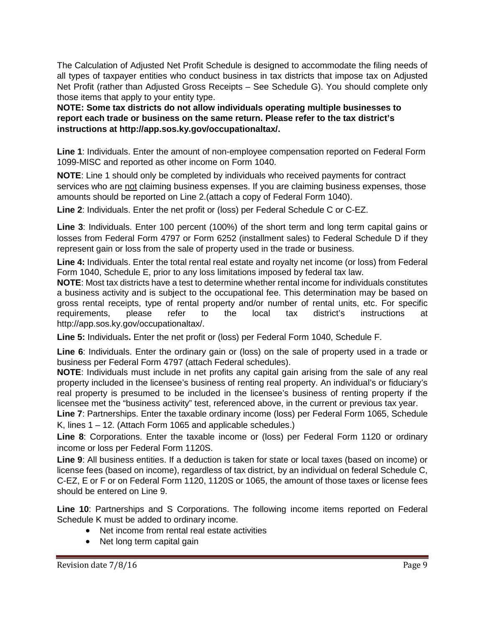The Calculation of Adjusted Net Profit Schedule is designed to accommodate the filing needs of all types of taxpayer entities who conduct business in tax districts that impose tax on Adjusted Net Profit (rather than Adjusted Gross Receipts – See Schedule G). You should complete only those items that apply to your entity type.

**NOTE: Some tax districts do not allow individuals operating multiple businesses to report each trade or business on the same return. Please refer to the tax district's instructions at [http://app.sos.ky.gov/occupationaltax/.](http://app.sos.ky.gov/occupationaltax/)**

**Line 1**: Individuals. Enter the amount of non-employee compensation reported on Federal Form 1099-MISC and reported as other income on Form 1040.

**NOTE**: Line 1 should only be completed by individuals who received payments for contract services who are not claiming business expenses. If you are claiming business expenses, those amounts should be reported on Line 2.(attach a copy of Federal Form 1040).

**Line 2**: Individuals. Enter the net profit or (loss) per Federal Schedule C or C-EZ.

**Line 3**: Individuals. Enter 100 percent (100%) of the short term and long term capital gains or losses from Federal Form 4797 or Form 6252 (installment sales) to Federal Schedule D if they represent gain or loss from the sale of property used in the trade or business.

**Line 4:** Individuals. Enter the total rental real estate and royalty net income (or loss) from Federal Form 1040, Schedule E, prior to any loss limitations imposed by federal tax law.

**NOTE**: Most tax districts have a test to determine whether rental income for individuals constitutes a business activity and is subject to the occupational fee. This determination may be based on gross rental receipts, type of rental property and/or number of rental units, etc. For specific requirements, please refer to the local tax district's instructions at http://app.sos.ky.gov/occupationaltax/.

**Line 5:** Individuals**.** Enter the net profit or (loss) per Federal Form 1040, Schedule F.

**Line 6**: Individuals. Enter the ordinary gain or (loss) on the sale of property used in a trade or business per Federal Form 4797 (attach Federal schedules).

**NOTE**: Individuals must include in net profits any capital gain arising from the sale of any real property included in the licensee's business of renting real property. An individual's or fiduciary's real property is presumed to be included in the licensee's business of renting property if the licensee met the "business activity" test, referenced above, in the current or previous tax year.

**Line 7**: Partnerships. Enter the taxable ordinary income (loss) per Federal Form 1065, Schedule K, lines 1 – 12. (Attach Form 1065 and applicable schedules.)

**Line 8**: Corporations. Enter the taxable income or (loss) per Federal Form 1120 or ordinary income or loss per Federal Form 1120S.

**Line 9**: All business entities. If a deduction is taken for state or local taxes (based on income) or license fees (based on income), regardless of tax district, by an individual on federal Schedule C, C-EZ, E or F or on Federal Form 1120, 1120S or 1065, the amount of those taxes or license fees should be entered on Line 9.

**Line 10**: Partnerships and S Corporations. The following income items reported on Federal Schedule K must be added to ordinary income.

- Net income from rental real estate activities
- Net long term capital gain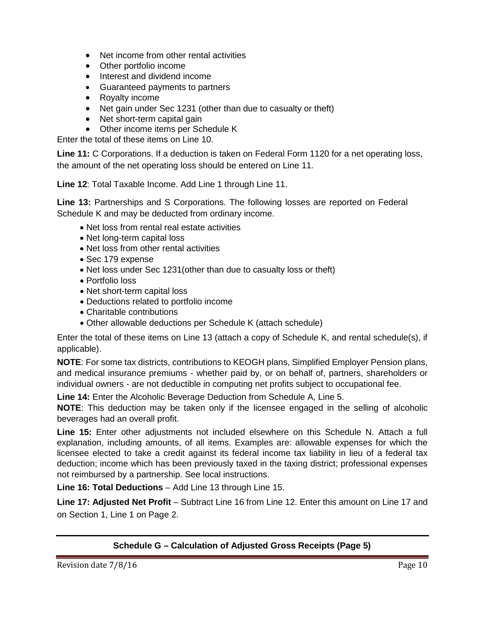- Net income from other rental activities
- Other portfolio income
- Interest and dividend income
- Guaranteed payments to partners
- Royalty income
- Net gain under Sec 1231 (other than due to casualty or theft)
- Net short-term capital gain
- Other income items per Schedule K

Enter the total of these items on Line 10.

**Line 11:** C Corporations. If a deduction is taken on Federal Form 1120 for a net operating loss, the amount of the net operating loss should be entered on Line 11.

**Line 12**: Total Taxable Income. Add Line 1 through Line 11.

**Line 13:** Partnerships and S Corporations. The following losses are reported on Federal Schedule K and may be deducted from ordinary income.

- Net loss from rental real estate activities
- Net long-term capital loss
- Net loss from other rental activities
- Sec 179 expense
- Net loss under Sec 1231(other than due to casualty loss or theft)
- Portfolio loss
- Net short-term capital loss
- Deductions related to portfolio income
- Charitable contributions
- Other allowable deductions per Schedule K (attach schedule)

Enter the total of these items on Line 13 (attach a copy of Schedule K, and rental schedule(s), if applicable).

**NOTE**: For some tax districts, contributions to KEOGH plans, Simplified Employer Pension plans, and medical insurance premiums - whether paid by, or on behalf of, partners, shareholders or individual owners - are not deductible in computing net profits subject to occupational fee.

**Line 14:** Enter the Alcoholic Beverage Deduction from Schedule A, Line 5.

**NOTE**: This deduction may be taken only if the licensee engaged in the selling of alcoholic beverages had an overall profit.

**Line 15:** Enter other adjustments not included elsewhere on this Schedule N. Attach a full explanation, including amounts, of all items. Examples are: allowable expenses for which the licensee elected to take a credit against its federal income tax liability in lieu of a federal tax deduction; income which has been previously taxed in the taxing district; professional expenses not reimbursed by a partnership. See local instructions.

**Line 16: Total Deductions** – Add Line 13 through Line 15.

**Line 17: Adjusted Net Profit** – Subtract Line 16 from Line 12. Enter this amount on Line 17 and on Section 1, Line 1 on Page 2.

## **Schedule G – Calculation of Adjusted Gross Receipts (Page 5)**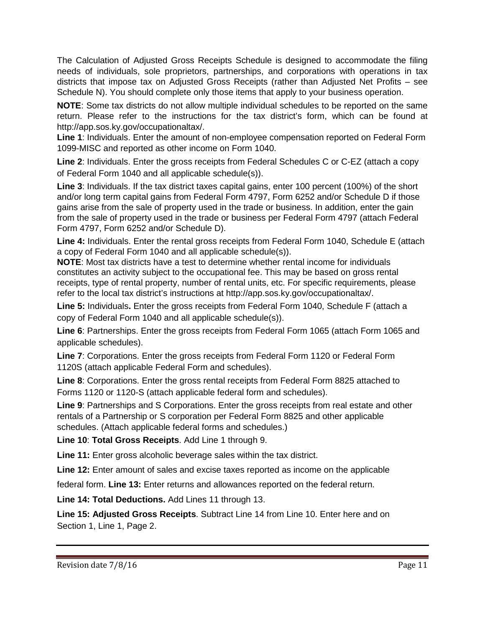The Calculation of Adjusted Gross Receipts Schedule is designed to accommodate the filing needs of individuals, sole proprietors, partnerships, and corporations with operations in tax districts that impose tax on Adjusted Gross Receipts (rather than Adjusted Net Profits – see Schedule N). You should complete only those items that apply to your business operation.

**NOTE**: Some tax districts do not allow multiple individual schedules to be reported on the same return. Please refer to the instructions for the tax district's form, which can be found at http://app.sos.ky.gov/occupationaltax/.

**Line 1**: Individuals. Enter the amount of non-employee compensation reported on Federal Form 1099-MISC and reported as other income on Form 1040.

**Line 2**: Individuals. Enter the gross receipts from Federal Schedules C or C-EZ (attach a copy of Federal Form 1040 and all applicable schedule(s)).

**Line 3**: Individuals. If the tax district taxes capital gains, enter 100 percent (100%) of the short and/or long term capital gains from Federal Form 4797, Form 6252 and/or Schedule D if those gains arise from the sale of property used in the trade or business. In addition, enter the gain from the sale of property used in the trade or business per Federal Form 4797 (attach Federal Form 4797, Form 6252 and/or Schedule D).

**Line 4:** Individuals. Enter the rental gross receipts from Federal Form 1040, Schedule E (attach a copy of Federal Form 1040 and all applicable schedule(s)).

**NOTE**: Most tax districts have a test to determine whether rental income for individuals constitutes an activity subject to the occupational fee. This may be based on gross rental receipts, type of rental property, number of rental units, etc. For specific requirements, please refer to the local tax district's instructions at http://app.sos.ky.gov/occupationaltax/.

**Line 5:** Individuals**.** Enter the gross receipts from Federal Form 1040, Schedule F (attach a copy of Federal Form 1040 and all applicable schedule(s)).

**Line 6**: Partnerships. Enter the gross receipts from Federal Form 1065 (attach Form 1065 and applicable schedules).

**Line 7**: Corporations. Enter the gross receipts from Federal Form 1120 or Federal Form 1120S (attach applicable Federal Form and schedules).

**Line 8**: Corporations. Enter the gross rental receipts from Federal Form 8825 attached to Forms 1120 or 1120-S (attach applicable federal form and schedules).

**Line 9**: Partnerships and S Corporations. Enter the gross receipts from real estate and other rentals of a Partnership or S corporation per Federal Form 8825 and other applicable schedules. (Attach applicable federal forms and schedules.)

**Line 10**: **Total Gross Receipts**. Add Line 1 through 9.

**Line 11:** Enter gross alcoholic beverage sales within the tax district.

**Line 12:** Enter amount of sales and excise taxes reported as income on the applicable

federal form. **Line 13:** Enter returns and allowances reported on the federal return.

**Line 14: Total Deductions.** Add Lines 11 through 13.

**Line 15: Adjusted Gross Receipts**. Subtract Line 14 from Line 10. Enter here and on Section 1, Line 1, Page 2.